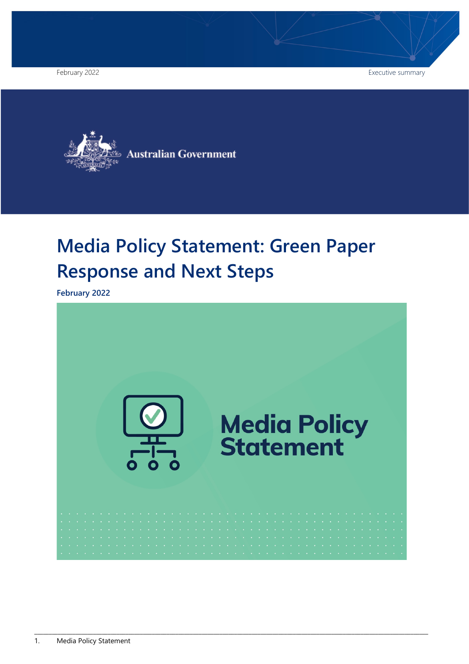February 2022 **Executive summary** Executive summary



# **Media Policy Statement: Green Paper Response and Next Steps**

**February 2022**

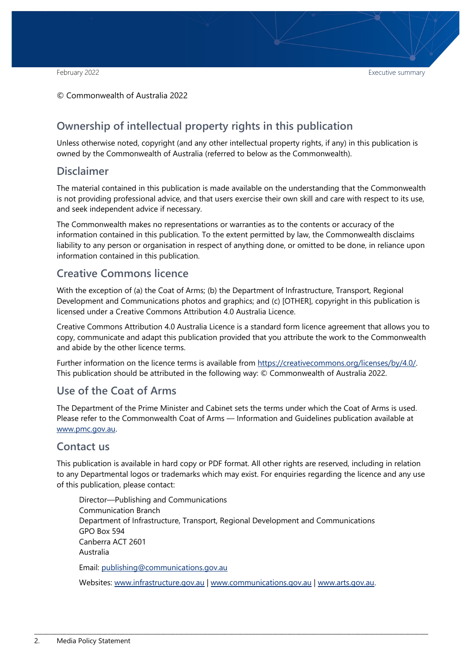© Commonwealth of Australia 2022

### **Ownership of intellectual property rights in this publication**

Unless otherwise noted, copyright (and any other intellectual property rights, if any) in this publication is owned by the Commonwealth of Australia (referred to below as the Commonwealth).

#### **Disclaimer**

The material contained in this publication is made available on the understanding that the Commonwealth is not providing professional advice, and that users exercise their own skill and care with respect to its use, and seek independent advice if necessary.

The Commonwealth makes no representations or warranties as to the contents or accuracy of the information contained in this publication. To the extent permitted by law, the Commonwealth disclaims liability to any person or organisation in respect of anything done, or omitted to be done, in reliance upon information contained in this publication.

#### **Creative Commons licence**

With the exception of (a) the Coat of Arms; (b) the Department of Infrastructure, Transport, Regional Development and Communications photos and graphics; and (c) [OTHER], copyright in this publication is licensed under a Creative Commons Attribution 4.0 Australia Licence.

Creative Commons Attribution 4.0 Australia Licence is a standard form licence agreement that allows you to copy, communicate and adapt this publication provided that you attribute the work to the Commonwealth and abide by the other licence terms.

Further information on the licence terms is available from [https://creativecommons.org/licenses/by/4.0/.](https://creativecommons.org/licenses/by/4.0/) This publication should be attributed in the following way: © Commonwealth of Australia 2022.

#### **Use of the Coat of Arms**

The Department of the Prime Minister and Cabinet sets the terms under which the Coat of Arms is used. Please refer to the Commonwealth Coat of Arms — Information and Guidelines publication available at [www.pmc.gov.au.](http://www.pmc.gov.au/)

#### **Contact us**

This publication is available in hard copy or PDF format. All other rights are reserved, including in relation to any Departmental logos or trademarks which may exist. For enquiries regarding the licence and any use of this publication, please contact:

Director—Publishing and Communications Communication Branch Department of Infrastructure, Transport, Regional Development and Communications GPO Box 594 Canberra ACT 2601 Australia Email: [publishing@communications.gov.au](mailto:publishing@communications.gov.au)

Websites: [www.infrastructure.gov.au](http://www.infrastructure.gov.au/) | [www.communications.gov.au](http://www.communications.gov.au/) | [www.arts.gov.au.](http://www.arts.gov.au/)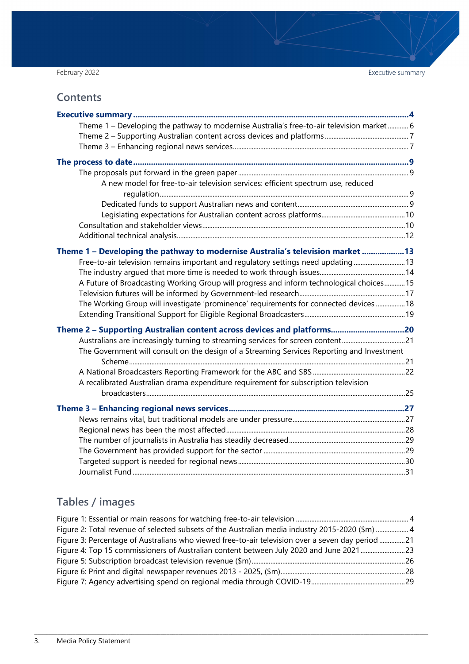February 2022 **Executive summary** Executive summary

## **Contents**

| Theme 1 - Developing the pathway to modernise Australia's free-to-air television market 6  |  |
|--------------------------------------------------------------------------------------------|--|
|                                                                                            |  |
|                                                                                            |  |
|                                                                                            |  |
|                                                                                            |  |
| A new model for free-to-air television services: efficient spectrum use, reduced           |  |
|                                                                                            |  |
|                                                                                            |  |
|                                                                                            |  |
|                                                                                            |  |
|                                                                                            |  |
| Theme 1 - Developing the pathway to modernise Australia's television market 13             |  |
| Free-to-air television remains important and regulatory settings need updating  13         |  |
|                                                                                            |  |
| A Future of Broadcasting Working Group will progress and inform technological choices 15   |  |
|                                                                                            |  |
| The Working Group will investigate 'prominence' requirements for connected devices  18     |  |
|                                                                                            |  |
| Theme 2 - Supporting Australian content across devices and platforms20                     |  |
| Australians are increasingly turning to streaming services for screen content21            |  |
| The Government will consult on the design of a Streaming Services Reporting and Investment |  |
|                                                                                            |  |
|                                                                                            |  |
| A recalibrated Australian drama expenditure requirement for subscription television        |  |
|                                                                                            |  |
|                                                                                            |  |
|                                                                                            |  |
|                                                                                            |  |
|                                                                                            |  |
|                                                                                            |  |
|                                                                                            |  |
|                                                                                            |  |
|                                                                                            |  |

## **Tables / images**

| Figure 2: Total revenue of selected subsets of the Australian media industry 2015-2020 (\$m)  4  |  |
|--------------------------------------------------------------------------------------------------|--|
| Figure 3: Percentage of Australians who viewed free-to-air television over a seven day period 21 |  |
| Figure 4: Top 15 commissioners of Australian content between July 2020 and June 2021 23          |  |
|                                                                                                  |  |
|                                                                                                  |  |
|                                                                                                  |  |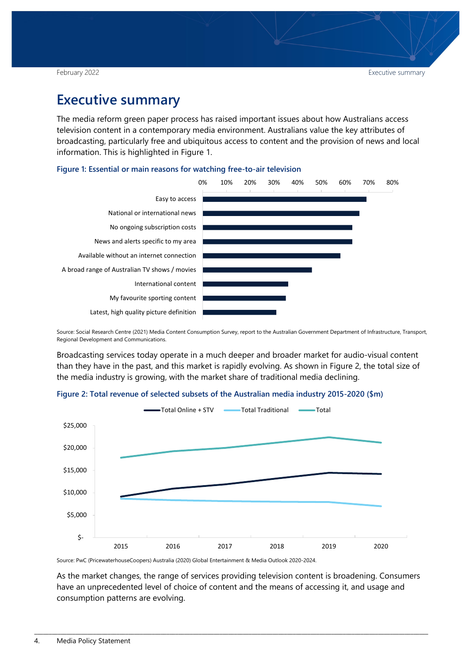## <span id="page-3-0"></span>**Executive summary**

The media reform green paper process has raised important issues about how Australians access television content in a contemporary media environment. Australians value the key attributes of broadcasting, particularly free and ubiquitous access to content and the provision of news and local information. This is highlighted in [Figure 1.](#page-3-1)

#### <span id="page-3-1"></span>**Figure 1: Essential or main reasons for watching free-to-air television**



Source: Social Research Centre [\(2021\) Media Content Consumption Survey,](https://www.infrastructure.gov.au/sites/default/files/media-content-consumption-survey-november2020.pdf) report to the Australian Government Department of Infrastructure, Transport, Regional Development and Communications.

Broadcasting services today operate in a much deeper and broader market for audio-visual content than they have in the past, and this market is rapidly evolving. As shown in Figure 2, the total size of the media industry is growing, with the market share of traditional media declining.

<span id="page-3-2"></span>



Source: PwC (PricewaterhouseCoopers) Australia (2020) Global Entertainment & Media Outlook 2020-2024.

As the market changes, the range of services providing television content is broadening. Consumers have an unprecedented level of choice of content and the means of accessing it, and usage and consumption patterns are evolving.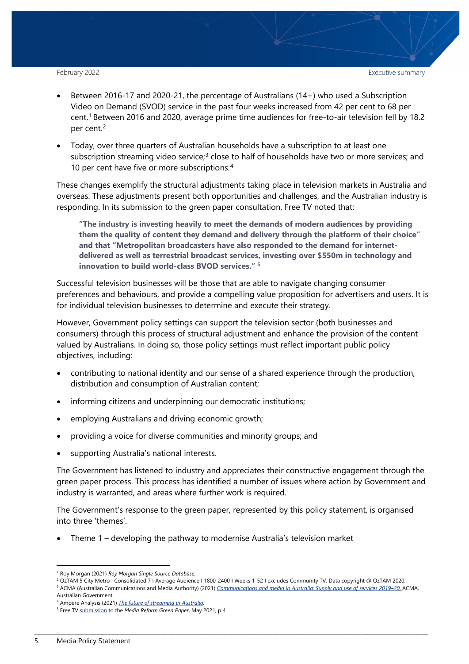- Between 2016-17 and 2020-21, the percentage of Australians (14+) who used a Subscription Video on Demand (SVOD) service in the past four weeks increased from 42 per cent to 68 per cent[.1](#page-4-0) Between 2016 and 2020, average prime time audiences for free-to-air television fell by 18.2 per cent.<sup>[2](#page-4-1)</sup>
- Today, over three quarters of Australian households have a subscription to at least one subscription streaming video service;<sup>[3](#page-4-2)</sup> close to half of households have two or more services; and 10 per cent have five or more subscriptions.<sup>[4](#page-4-3)</sup>

These changes exemplify the structural adjustments taking place in television markets in Australia and overseas. These adjustments present both opportunities and challenges, and the Australian industry is responding. In its submission to the green paper consultation, Free TV noted that:

**"The industry is investing heavily to meet the demands of modern audiences by providing them the quality of content they demand and delivery through the platform of their choice" and that "Metropolitan broadcasters have also responded to the demand for internetdelivered as well as terrestrial broadcast services, investing over \$550m in technology and innovation to build world-class BVOD services." [5](#page-4-4)**

Successful television businesses will be those that are able to navigate changing consumer preferences and behaviours, and provide a compelling value proposition for advertisers and users. It is for individual television businesses to determine and execute their strategy.

However, Government policy settings can support the television sector (both businesses and consumers) through this process of structural adjustment and enhance the provision of the content valued by Australians. In doing so, those policy settings must reflect important public policy objectives, including:

- contributing to national identity and our sense of a shared experience through the production, distribution and consumption of Australian content;
- informing citizens and underpinning our democratic institutions;
- employing Australians and driving economic growth;
- providing a voice for diverse communities and minority groups; and
- supporting Australia's national interests.

The Government has listened to industry and appreciates their constructive engagement through the green paper process. This process has identified a number of issues where action by Government and industry is warranted, and areas where further work is required.

The Government's response to the green paper, represented by this policy statement, is organised into three 'themes'.

• Theme 1 – developing the pathway to modernise Australia's television market

 <sup>1</sup> Roy Morgan (2021) *Roy Morgan Single Source Database.*

<span id="page-4-1"></span><span id="page-4-0"></span><sup>2</sup> OzTAM 5 City Metro I Consolidated 7 I Average Audience I 1800-2400 I Weeks 1-52 I excludes Community TV. Data copyright @ OzTAM 2020. <sup>3</sup> ACMA (Australian Communications and Media Authority) (2021) *Communications and media in Australia: Supply and use of services 2019–20,* ACMA,

<span id="page-4-2"></span>Australian Government.<br><sup>4</sup> Ampere Analysis (2021) <u>The future of streaming in Australia</u>.

<span id="page-4-4"></span><span id="page-4-3"></span><sup>&</sup>lt;sup>5</sup> Free T[V submission](https://www.freetv.com.au/wp-content/uploads/2021/05/Free-TV-Submission-Media-Reform-Green-Paper-V3-linked.pdf) to the *Media Reform Green Paper*, May 2021, p 4.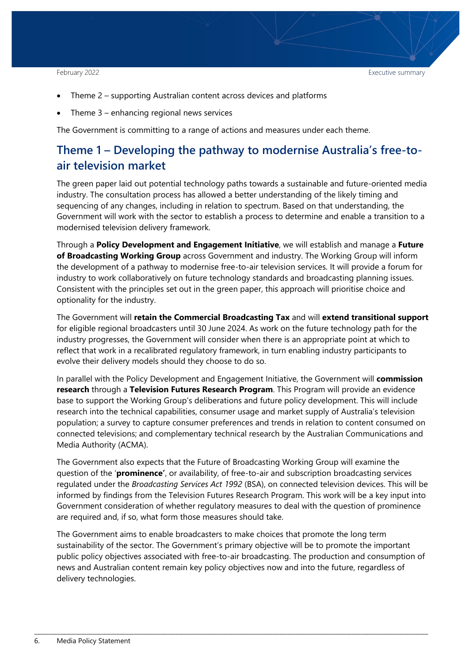- Theme 2 supporting Australian content across devices and platforms
- Theme  $3$  enhancing regional news services

The Government is committing to a range of actions and measures under each theme.

## <span id="page-5-0"></span>**Theme 1 – Developing the pathway to modernise Australia's free-toair television market**

The green paper laid out potential technology paths towards a sustainable and future-oriented media industry. The consultation process has allowed a better understanding of the likely timing and sequencing of any changes, including in relation to spectrum. Based on that understanding, the Government will work with the sector to establish a process to determine and enable a transition to a modernised television delivery framework.

Through a **Policy Development and Engagement Initiative**, we will establish and manage a **Future of Broadcasting Working Group** across Government and industry. The Working Group will inform the development of a pathway to modernise free-to-air television services. It will provide a forum for industry to work collaboratively on future technology standards and broadcasting planning issues. Consistent with the principles set out in the green paper, this approach will prioritise choice and optionality for the industry.

The Government will **retain the Commercial Broadcasting Tax** and will **extend transitional support**  for eligible regional broadcasters until 30 June 2024. As work on the future technology path for the industry progresses, the Government will consider when there is an appropriate point at which to reflect that work in a recalibrated regulatory framework, in turn enabling industry participants to evolve their delivery models should they choose to do so.

In parallel with the Policy Development and Engagement Initiative, the Government will **commission research** through a **Television Futures Research Program**. This Program will provide an evidence base to support the Working Group's deliberations and future policy development. This will include research into the technical capabilities, consumer usage and market supply of Australia's television population; a survey to capture consumer preferences and trends in relation to content consumed on connected televisions; and complementary technical research by the Australian Communications and Media Authority (ACMA).

The Government also expects that the Future of Broadcasting Working Group will examine the question of the '**prominence'**, or availability, of free-to-air and subscription broadcasting services regulated under the *Broadcasting Services Act 1992* (BSA), on connected television devices. This will be informed by findings from the Television Futures Research Program. This work will be a key input into Government consideration of whether regulatory measures to deal with the question of prominence are required and, if so, what form those measures should take.

The Government aims to enable broadcasters to make choices that promote the long term sustainability of the sector. The Government's primary objective will be to promote the important public policy objectives associated with free-to-air broadcasting. The production and consumption of news and Australian content remain key policy objectives now and into the future, regardless of delivery technologies.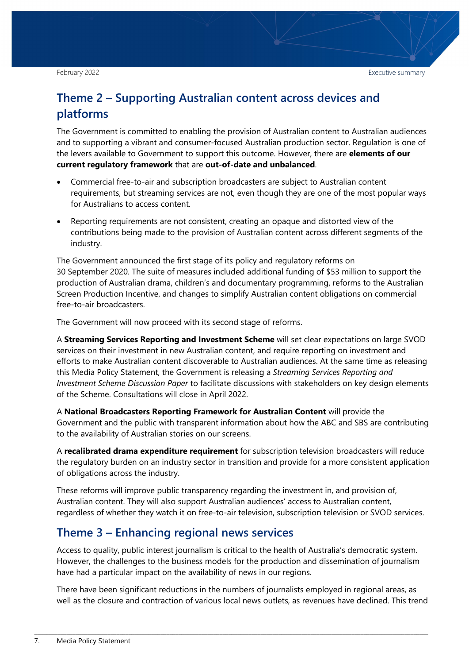## <span id="page-6-0"></span>**Theme 2 – Supporting Australian content across devices and platforms**

The Government is committed to enabling the provision of Australian content to Australian audiences and to supporting a vibrant and consumer-focused Australian production sector. Regulation is one of the levers available to Government to support this outcome. However, there are **elements of our current regulatory framework** that are **out-of-date and unbalanced**.

- Commercial free-to-air and subscription broadcasters are subject to Australian content requirements, but streaming services are not, even though they are one of the most popular ways for Australians to access content.
- Reporting requirements are not consistent, creating an opaque and distorted view of the contributions being made to the provision of Australian content across different segments of the industry.

The Government announced the first stage of its policy and regulatory reforms on 30 September 2020. The suite of measures included additional funding of \$53 million to support the production of Australian drama, children's and documentary programming, reforms to the Australian Screen Production Incentive, and changes to simplify Australian content obligations on commercial free-to-air broadcasters.

The Government will now proceed with its second stage of reforms.

A **Streaming Services Reporting and Investment Scheme** will set clear expectations on large SVOD services on their investment in new Australian content, and require reporting on investment and efforts to make Australian content discoverable to Australian audiences. At the same time as releasing this Media Policy Statement, the Government is releasing a *Streaming Services Reporting and Investment Scheme Discussion Paper* to facilitate discussions with stakeholders on key design elements of the Scheme. Consultations will close in April 2022.

A **National Broadcasters Reporting Framework for Australian Content** will provide the Government and the public with transparent information about how the ABC and SBS are contributing to the availability of Australian stories on our screens.

A **recalibrated drama expenditure requirement** for subscription television broadcasters will reduce the regulatory burden on an industry sector in transition and provide for a more consistent application of obligations across the industry.

These reforms will improve public transparency regarding the investment in, and provision of, Australian content. They will also support Australian audiences' access to Australian content, regardless of whether they watch it on free-to-air television, subscription television or SVOD services.

## <span id="page-6-1"></span>**Theme 3 – Enhancing regional news services**

Access to quality, public interest journalism is critical to the health of Australia's democratic system. However, the challenges to the business models for the production and dissemination of journalism have had a particular impact on the availability of news in our regions.

There have been significant reductions in the numbers of journalists employed in regional areas, as well as the closure and contraction of various local news outlets, as revenues have declined. This trend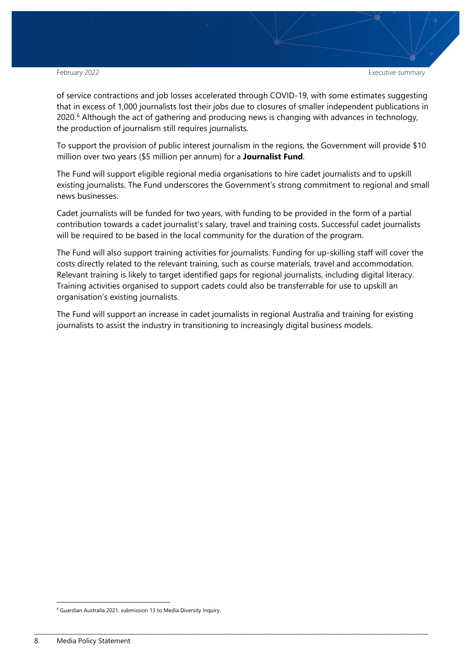February 2022 **Executive summary** Executive summary

of service contractions and job losses accelerated through COVID-19, with some estimates suggesting that in excess of 1,000 journalists lost their jobs due to closures of smaller independent publications in 2020.<sup>[6](#page-7-0)</sup> Although the act of gathering and producing news is changing with advances in technology, the production of journalism still requires journalists.

To support the provision of public interest journalism in the regions, the Government will provide \$10 million over two years (\$5 million per annum) for a **Journalist Fund**.

The Fund will support eligible regional media organisations to hire cadet journalists and to upskill existing journalists. The Fund underscores the Government's strong commitment to regional and small news businesses.

Cadet journalists will be funded for two years, with funding to be provided in the form of a partial contribution towards a cadet journalist's salary, travel and training costs. Successful cadet journalists will be required to be based in the local community for the duration of the program.

The Fund will also support training activities for journalists. Funding for up-skilling staff will cover the costs directly related to the relevant training, such as course materials, travel and accommodation. Relevant training is likely to target identified gaps for regional journalists, including digital literacy. Training activities organised to support cadets could also be transferrable for use to upskill an organisation's existing journalists.

The Fund will support an increase in cadet journalists in regional Australia and training for existing journalists to assist the industry in transitioning to increasingly digital business models.

<span id="page-7-0"></span> <sup>6</sup> Guardian Australia 2021, submission 13 to Media Diversity Inquiry.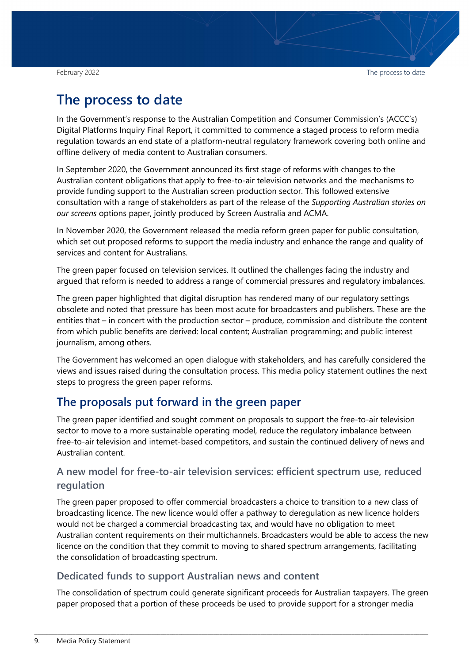## <span id="page-8-0"></span>**The process to date**

In the Government's response to the Australian Competition and Consumer Commission's (ACCC's) Digital Platforms Inquiry Final Report, it committed to commence a staged process to reform media regulation towards an end state of a platform-neutral regulatory framework covering both online and offline delivery of media content to Australian consumers.

In September 2020, the Government announced its first stage of reforms with changes to the Australian content obligations that apply to free-to-air television networks and the mechanisms to provide funding support to the Australian screen production sector. This followed extensive consultation with a range of stakeholders as part of the release of the *Supporting Australian stories on our screens* options paper, jointly produced by Screen Australia and ACMA.

In November 2020, the Government released the media reform green paper for public consultation, which set out proposed reforms to support the media industry and enhance the range and quality of services and content for Australians.

The green paper focused on television services. It outlined the challenges facing the industry and argued that reform is needed to address a range of commercial pressures and regulatory imbalances.

The green paper highlighted that digital disruption has rendered many of our regulatory settings obsolete and noted that pressure has been most acute for broadcasters and publishers. These are the entities that – in concert with the production sector – produce, commission and distribute the content from which public benefits are derived: local content; Australian programming; and public interest journalism, among others.

The Government has welcomed an open dialogue with stakeholders, and has carefully considered the views and issues raised during the consultation process. This media policy statement outlines the next steps to progress the green paper reforms.

## <span id="page-8-1"></span>**The proposals put forward in the green paper**

The green paper identified and sought comment on proposals to support the free-to-air television sector to move to a more sustainable operating model, reduce the regulatory imbalance between free-to-air television and internet-based competitors, and sustain the continued delivery of news and Australian content.

### <span id="page-8-2"></span>**A new model for free-to-air television services: efficient spectrum use, reduced regulation**

The green paper proposed to offer commercial broadcasters a choice to transition to a new class of broadcasting licence. The new licence would offer a pathway to deregulation as new licence holders would not be charged a commercial broadcasting tax, and would have no obligation to meet Australian content requirements on their multichannels. Broadcasters would be able to access the new licence on the condition that they commit to moving to shared spectrum arrangements, facilitating the consolidation of broadcasting spectrum.

#### <span id="page-8-3"></span>**Dedicated funds to support Australian news and content**

The consolidation of spectrum could generate significant proceeds for Australian taxpayers. The green paper proposed that a portion of these proceeds be used to provide support for a stronger media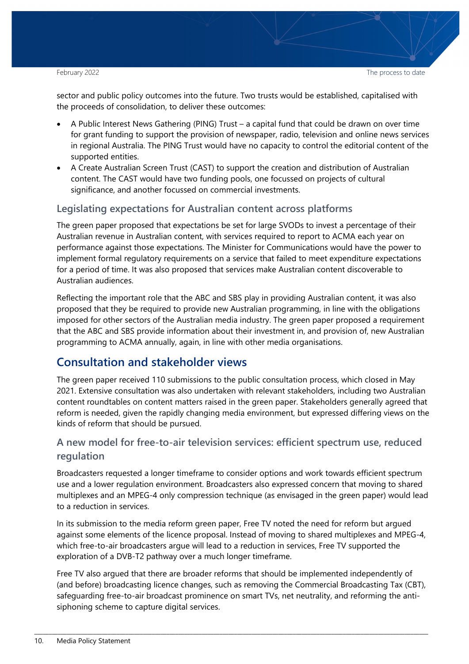sector and public policy outcomes into the future. Two trusts would be established, capitalised with the proceeds of consolidation, to deliver these outcomes:

- A Public Interest News Gathering (PING) Trust a capital fund that could be drawn on over time for grant funding to support the provision of newspaper, radio, television and online news services in regional Australia. The PING Trust would have no capacity to control the editorial content of the supported entities.
- A Create Australian Screen Trust (CAST) to support the creation and distribution of Australian content. The CAST would have two funding pools, one focussed on projects of cultural significance, and another focussed on commercial investments.

#### <span id="page-9-0"></span>**Legislating expectations for Australian content across platforms**

The green paper proposed that expectations be set for large SVODs to invest a percentage of their Australian revenue in Australian content, with services required to report to ACMA each year on performance against those expectations. The Minister for Communications would have the power to implement formal regulatory requirements on a service that failed to meet expenditure expectations for a period of time. It was also proposed that services make Australian content discoverable to Australian audiences.

Reflecting the important role that the ABC and SBS play in providing Australian content, it was also proposed that they be required to provide new Australian programming, in line with the obligations imposed for other sectors of the Australian media industry. The green paper proposed a requirement that the ABC and SBS provide information about their investment in, and provision of, new Australian programming to ACMA annually, again, in line with other media organisations.

## <span id="page-9-1"></span>**Consultation and stakeholder views**

The green paper received 110 submissions to the public consultation process, which closed in May 2021. Extensive consultation was also undertaken with relevant stakeholders, including two Australian content roundtables on content matters raised in the green paper. Stakeholders generally agreed that reform is needed, given the rapidly changing media environment, but expressed differing views on the kinds of reform that should be pursued.

### **A new model for free-to-air television services: efficient spectrum use, reduced regulation**

Broadcasters requested a longer timeframe to consider options and work towards efficient spectrum use and a lower regulation environment. Broadcasters also expressed concern that moving to shared multiplexes and an MPEG-4 only compression technique (as envisaged in the green paper) would lead to a reduction in services.

In its submission to the media reform green paper, Free TV noted the need for reform but argued against some elements of the licence proposal. Instead of moving to shared multiplexes and MPEG-4, which free-to-air broadcasters argue will lead to a reduction in services, Free TV supported the exploration of a DVB-T2 pathway over a much longer timeframe.

Free TV also argued that there are broader reforms that should be implemented independently of (and before) broadcasting licence changes, such as removing the Commercial Broadcasting Tax (CBT), safeguarding free-to-air broadcast prominence on smart TVs, net neutrality, and reforming the antisiphoning scheme to capture digital services.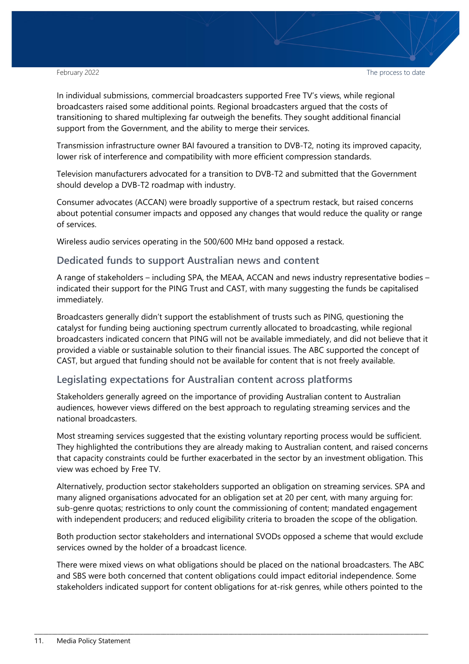February 2022 **The process to date** the process to date

In individual submissions, commercial broadcasters supported Free TV's views, while regional broadcasters raised some additional points. Regional broadcasters argued that the costs of transitioning to shared multiplexing far outweigh the benefits. They sought additional financial support from the Government, and the ability to merge their services.

Transmission infrastructure owner BAI favoured a transition to DVB-T2, noting its improved capacity, lower risk of interference and compatibility with more efficient compression standards.

Television manufacturers advocated for a transition to DVB-T2 and submitted that the Government should develop a DVB-T2 roadmap with industry.

Consumer advocates (ACCAN) were broadly supportive of a spectrum restack, but raised concerns about potential consumer impacts and opposed any changes that would reduce the quality or range of services.

Wireless audio services operating in the 500/600 MHz band opposed a restack.

#### **Dedicated funds to support Australian news and content**

A range of stakeholders – including SPA, the MEAA, ACCAN and news industry representative bodies – indicated their support for the PING Trust and CAST, with many suggesting the funds be capitalised immediately.

Broadcasters generally didn't support the establishment of trusts such as PING, questioning the catalyst for funding being auctioning spectrum currently allocated to broadcasting, while regional broadcasters indicated concern that PING will not be available immediately, and did not believe that it provided a viable or sustainable solution to their financial issues. The ABC supported the concept of CAST, but argued that funding should not be available for content that is not freely available.

#### **Legislating expectations for Australian content across platforms**

Stakeholders generally agreed on the importance of providing Australian content to Australian audiences, however views differed on the best approach to regulating streaming services and the national broadcasters.

Most streaming services suggested that the existing voluntary reporting process would be sufficient. They highlighted the contributions they are already making to Australian content, and raised concerns that capacity constraints could be further exacerbated in the sector by an investment obligation. This view was echoed by Free TV.

Alternatively, production sector stakeholders supported an obligation on streaming services. SPA and many aligned organisations advocated for an obligation set at 20 per cent, with many arguing for: sub-genre quotas; restrictions to only count the commissioning of content; mandated engagement with independent producers; and reduced eligibility criteria to broaden the scope of the obligation.

Both production sector stakeholders and international SVODs opposed a scheme that would exclude services owned by the holder of a broadcast licence.

There were mixed views on what obligations should be placed on the national broadcasters. The ABC and SBS were both concerned that content obligations could impact editorial independence. Some stakeholders indicated support for content obligations for at-risk genres, while others pointed to the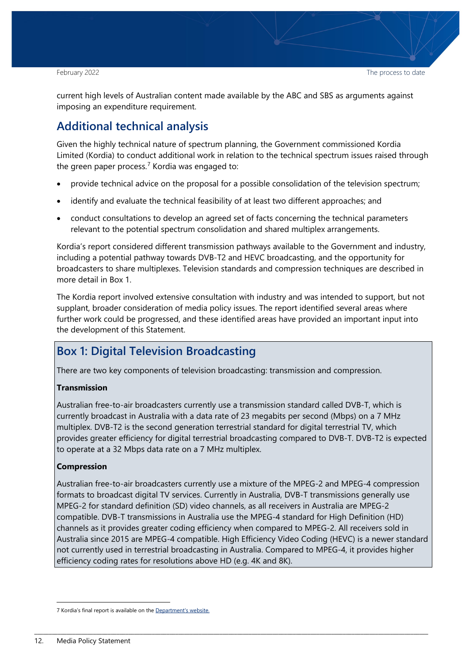current high levels of Australian content made available by the ABC and SBS as arguments against imposing an expenditure requirement.

## <span id="page-11-0"></span>**Additional technical analysis**

Given the highly technical nature of spectrum planning, the Government commissioned Kordia Limited (Kordia) to conduct additional work in relation to the technical spectrum issues raised through the green paper process. $7$  Kordia was engaged to:

- provide technical advice on the proposal for a possible consolidation of the television spectrum;
- identify and evaluate the technical feasibility of at least two different approaches; and
- conduct consultations to develop an agreed set of facts concerning the technical parameters relevant to the potential spectrum consolidation and shared multiplex arrangements.

Kordia's report considered different transmission pathways available to the Government and industry, including a potential pathway towards DVB-T2 and HEVC broadcasting, and the opportunity for broadcasters to share multiplexes. Television standards and compression techniques are described in more detail in Box 1.

The Kordia report involved extensive consultation with industry and was intended to support, but not supplant, broader consideration of media policy issues. The report identified several areas where further work could be progressed, and these identified areas have provided an important input into the development of this Statement.

## **Box 1: Digital Television Broadcasting**

There are two key components of television broadcasting: transmission and compression.

#### **Transmission**

Australian free-to-air broadcasters currently use a transmission standard called DVB-T, which is currently broadcast in Australia with a data rate of 23 megabits per second (Mbps) on a 7 MHz multiplex. DVB-T2 is the second generation terrestrial standard for digital terrestrial TV, which provides greater efficiency for digital terrestrial broadcasting compared to DVB-T. DVB-T2 is expected to operate at a 32 Mbps data rate on a 7 MHz multiplex.

#### **Compression**

Australian free-to-air broadcasters currently use a mixture of the MPEG-2 and MPEG-4 compression formats to broadcast digital TV services. Currently in Australia, DVB-T transmissions generally use MPEG-2 for standard definition (SD) video channels, as all receivers in Australia are MPEG-2 compatible. DVB-T transmissions in Australia use the MPEG-4 standard for High Definition (HD) channels as it provides greater coding efficiency when compared to MPEG-2. All receivers sold in Australia since 2015 are MPEG-4 compatible. High Efficiency Video Coding (HEVC) is a newer standard not currently used in terrestrial broadcasting in Australia. Compared to MPEG-4, it provides higher efficiency coding rates for resolutions above HD (e.g. 4K and 8K).

<span id="page-11-1"></span> <sup>7</sup> Kordia's final report is available on th[e Department's website.](https://www.infrastructure.gov.au/2021-kordia-report)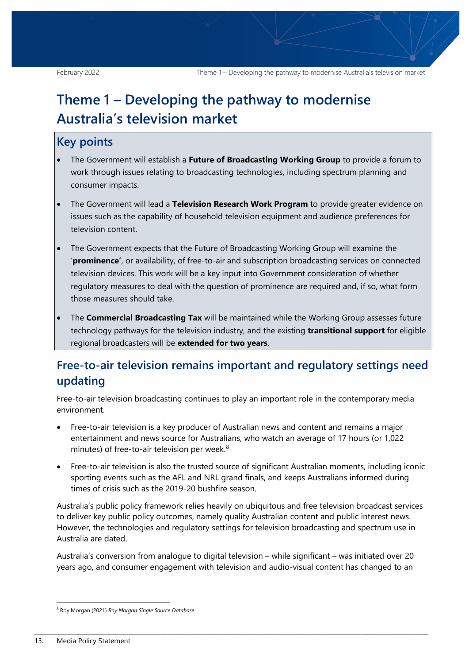## <span id="page-12-0"></span>**Theme 1 – Developing the pathway to modernise Australia's television market**

## **Key points**

- The Government will establish a **Future of Broadcasting Working Group** to provide a forum to work through issues relating to broadcasting technologies, including spectrum planning and consumer impacts.
- The Government will lead a **Television Research Work Program** to provide greater evidence on issues such as the capability of household television equipment and audience preferences for television content.
- The Government expects that the Future of Broadcasting Working Group will examine the '**prominence'**, or availability, of free-to-air and subscription broadcasting services on connected television devices. This work will be a key input into Government consideration of whether regulatory measures to deal with the question of prominence are required and, if so, what form those measures should take.
- The **Commercial Broadcasting Tax** will be maintained while the Working Group assesses future technology pathways for the television industry, and the existing **transitional support** for eligible regional broadcasters will be **extended for two years**.

## <span id="page-12-1"></span>**Free-to-air television remains important and regulatory settings need updating**

Free-to-air television broadcasting continues to play an important role in the contemporary media environment.

- Free-to-air television is a key producer of Australian news and content and remains a major entertainment and news source for Australians, who watch an average of 17 hours (or 1,022 minutes) of free-to-air television per week.[8](#page-12-2)
- Free-to-air television is also the trusted source of significant Australian moments, including iconic sporting events such as the AFL and NRL grand finals, and keeps Australians informed during times of crisis such as the 2019-20 bushfire season.

Australia's public policy framework relies heavily on ubiquitous and free television broadcast services to deliver key public policy outcomes, namely quality Australian content and public interest news. However, the technologies and regulatory settings for television broadcasting and spectrum use in Australia are dated.

Australia's conversion from analogue to digital television – while significant – was initiated over 20 years ago, and consumer engagement with television and audio-visual content has changed to an

<span id="page-12-2"></span> <sup>8</sup> Roy Morgan (2021) *Roy Morgan Single Source Database.*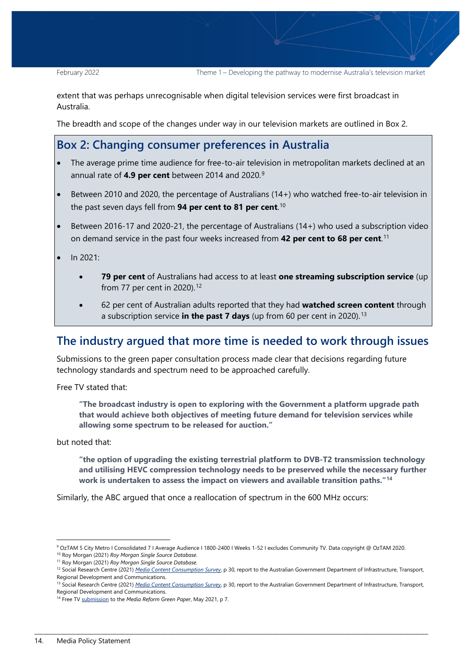extent that was perhaps unrecognisable when digital television services were first broadcast in Australia.

The breadth and scope of the changes under way in our television markets are outlined in Box 2.

#### **Box 2: Changing consumer preferences in Australia**

- The average prime time audience for free-to-air television in metropolitan markets declined at an annual rate of **4.9 per cent** between 2014 and 2020.[9](#page-13-1)
- Between 2010 and 2020, the percentage of Australians (14+) who watched free-to-air television in the past seven days fell from **94 per cent to 81 per cent**. [10](#page-13-2)
- Between 2016-17 and 2020-21, the percentage of Australians (14+) who used a subscription video on demand service in the past four weeks increased from **42 per cent to 68 per cent**. [11](#page-13-3)
- In 2021:
	- **79 per cent** of Australians had access to at least **one streaming subscription service** (up from 77 per cent in 2020).[12](#page-13-4)
	- 62 per cent of Australian adults reported that they had **watched screen content** through a subscription service **in the past 7 days** (up from 60 per cent in 2020).[13](#page-13-5)

#### <span id="page-13-0"></span>**The industry argued that more time is needed to work through issues**

Submissions to the green paper consultation process made clear that decisions regarding future technology standards and spectrum need to be approached carefully.

Free TV stated that:

**"The broadcast industry is open to exploring with the Government a platform upgrade path that would achieve both objectives of meeting future demand for television services while allowing some spectrum to be released for auction."** 

but noted that:

**"the option of upgrading the existing terrestrial platform to DVB-T2 transmission technology and utilising HEVC compression technology needs to be preserved while the necessary further work is undertaken to assess the impact on viewers and available transition paths."[14](#page-13-6)**

Similarly, the ABC argued that once a reallocation of spectrum in the 600 MHz occurs:

 <sup>9</sup> OzTAM 5 City Metro I Consolidated 7 I Average Audience I 1800-2400 I Weeks 1-52 I excludes Community TV. Data copyright @ OzTAM 2020.

<span id="page-13-3"></span><span id="page-13-2"></span><span id="page-13-1"></span><sup>10</sup> Roy Morgan (2021) *Roy Morgan Single Source Database.*

<sup>11</sup> Roy Morgan (2021) *Roy Morgan Single Source Database.*

<span id="page-13-4"></span><sup>12</sup> Social Research Centre (2021) *[Media Content Consumption Survey](https://www.infrastructure.gov.au/2021-media-content-consumption-survey)*, p 30, report to the Australian Government Department of Infrastructure, Transport, Regional Development and Communications.

<span id="page-13-5"></span><sup>13</sup> Social Research Centre (2021) *[Media Content Consumption Survey](https://www.infrastructure.gov.au/2021-media-content-consumption-survey)*, p 30, report to the Australian Government Department of Infrastructure, Transport, Regional Development and Communications.

<span id="page-13-6"></span><sup>14</sup> Free TV [submission](https://www.freetv.com.au/wp-content/uploads/2021/05/Free-TV-Submission-Media-Reform-Green-Paper-V3-linked.pdf) to the *Media Reform Green Paper*, May 2021, p 7.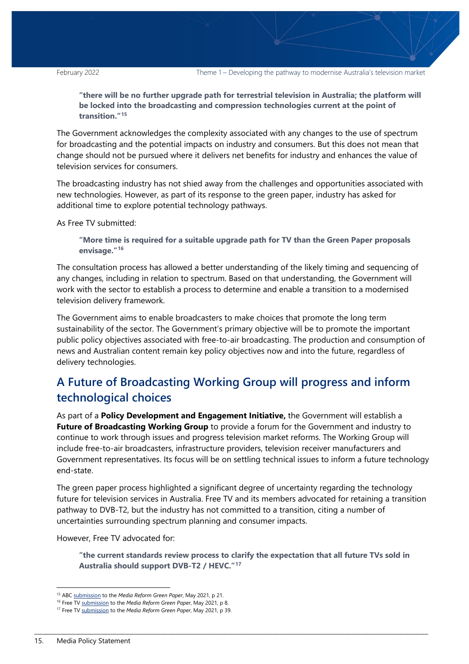**"there will be no further upgrade path for terrestrial television in Australia; the platform will be locked into the broadcasting and compression technologies current at the point of transition."[15](#page-14-1)**

The Government acknowledges the complexity associated with any changes to the use of spectrum for broadcasting and the potential impacts on industry and consumers. But this does not mean that change should not be pursued where it delivers net benefits for industry and enhances the value of television services for consumers.

The broadcasting industry has not shied away from the challenges and opportunities associated with new technologies. However, as part of its response to the green paper, industry has asked for additional time to explore potential technology pathways.

As Free TV submitted:

**"More time is required for a suitable upgrade path for TV than the Green Paper proposals envisage."[16](#page-14-2)**

The consultation process has allowed a better understanding of the likely timing and sequencing of any changes, including in relation to spectrum. Based on that understanding, the Government will work with the sector to establish a process to determine and enable a transition to a modernised television delivery framework.

The Government aims to enable broadcasters to make choices that promote the long term sustainability of the sector. The Government's primary objective will be to promote the important public policy objectives associated with free-to-air broadcasting. The production and consumption of news and Australian content remain key policy objectives now and into the future, regardless of delivery technologies.

## <span id="page-14-0"></span>**A Future of Broadcasting Working Group will progress and inform technological choices**

As part of a **Policy Development and Engagement Initiative,** the Government will establish a **Future of Broadcasting Working Group** to provide a forum for the Government and industry to continue to work through issues and progress television market reforms. The Working Group will include free-to-air broadcasters, infrastructure providers, television receiver manufacturers and Government representatives. Its focus will be on settling technical issues to inform a future technology end-state.

The green paper process highlighted a significant degree of uncertainty regarding the technology future for television services in Australia. Free TV and its members advocated for retaining a transition pathway to DVB-T2, but the industry has not committed to a transition, citing a number of uncertainties surrounding spectrum planning and consumer impacts.

However, Free TV advocated for:

**"the current standards review process to clarify the expectation that all future TVs sold in Australia should support DVB-T2 / HEVC."[17](#page-14-3)**

<span id="page-14-1"></span> <sup>15</sup> AB[C submission](https://about.abc.net.au/wp-content/uploads/2021/06/ABC-Green-Paper-submission-May-2021.pdf) to the *Media Reform Green Paper*, May 2021, p 21.

<sup>16</sup> Free TV [submission](https://www.freetv.com.au/wp-content/uploads/2021/05/Free-TV-Submission-Media-Reform-Green-Paper-V3-linked.pdf) to the *Media Reform Green Paper*, May 2021, p 8.

<span id="page-14-3"></span><span id="page-14-2"></span><sup>17</sup> Free TV [submission](https://www.freetv.com.au/wp-content/uploads/2021/05/Free-TV-Submission-Media-Reform-Green-Paper-V3-linked.pdf) to the *Media Reform Green Paper*, May 2021, p 39.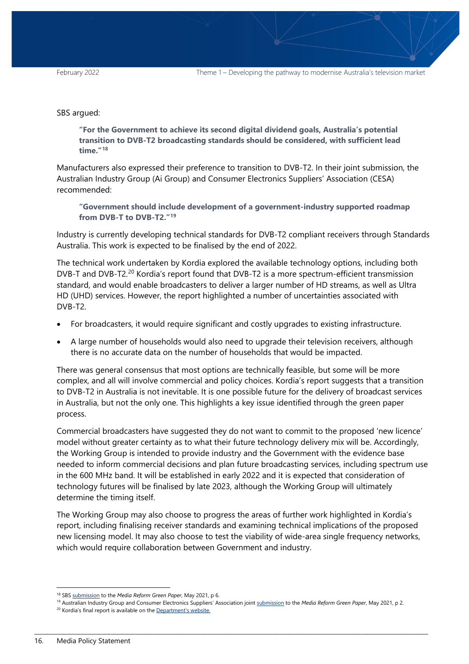#### SBS argued:

**"For the Government to achieve its second digital dividend goals, Australia's potential transition to DVB-T2 broadcasting standards should be considered, with sufficient lead time."[18](#page-15-0)**

Manufacturers also expressed their preference to transition to DVB-T2. In their joint submission, the Australian Industry Group (Ai Group) and Consumer Electronics Suppliers' Association (CESA) recommended:

**"Government should include development of a government-industry supported roadmap from DVB-T to DVB-T2."[19](#page-15-1)**

Industry is currently developing technical standards for DVB-T2 compliant receivers through Standards Australia. This work is expected to be finalised by the end of 2022.

The technical work undertaken by Kordia explored the available technology options, including both DVB-T and DVB-T2.[20](#page-15-2) Kordia's report found that DVB-T2 is a more spectrum-efficient transmission standard, and would enable broadcasters to deliver a larger number of HD streams, as well as Ultra HD (UHD) services. However, the report highlighted a number of uncertainties associated with DVB-T2.

- For broadcasters, it would require significant and costly upgrades to existing infrastructure.
- A large number of households would also need to upgrade their television receivers, although there is no accurate data on the number of households that would be impacted.

There was general consensus that most options are technically feasible, but some will be more complex, and all will involve commercial and policy choices. Kordia's report suggests that a transition to DVB-T2 in Australia is not inevitable. It is one possible future for the delivery of broadcast services in Australia, but not the only one. This highlights a key issue identified through the green paper process.

Commercial broadcasters have suggested they do not want to commit to the proposed 'new licence' model without greater certainty as to what their future technology delivery mix will be. Accordingly, the Working Group is intended to provide industry and the Government with the evidence base needed to inform commercial decisions and plan future broadcasting services, including spectrum use in the 600 MHz band. It will be established in early 2022 and it is expected that consideration of technology futures will be finalised by late 2023, although the Working Group will ultimately determine the timing itself.

The Working Group may also choose to progress the areas of further work highlighted in Kordia's report, including finalising receiver standards and examining technical implications of the proposed new licensing model. It may also choose to test the viability of wide-area single frequency networks, which would require collaboration between Government and industry.

 <sup>18</sup> SB[S submission](https://www.sbs.com.au/aboutus/sites/sbs.com.au.aboutus/files/sbs_submission_-_media_reform_green_paper_-_28052021.pdf) to the *Media Reform Green Paper*, May 2021, p 6.

<span id="page-15-2"></span><span id="page-15-1"></span><span id="page-15-0"></span><sup>19</sup> Australian Industry Group and Consumer Electronics Suppliers' Association join[t submission](https://www.aigroup.com.au/globalassets/news/submissions/2021/mrgp-ai-group-and-cesa_21june_2021.pdf) to the *Media Reform Green Paper*, May 2021, p 2. <sup>20</sup> Kordia's final report is available on th[e Department's website.](https://www.infrastructure.gov.au/2021-kordia-report)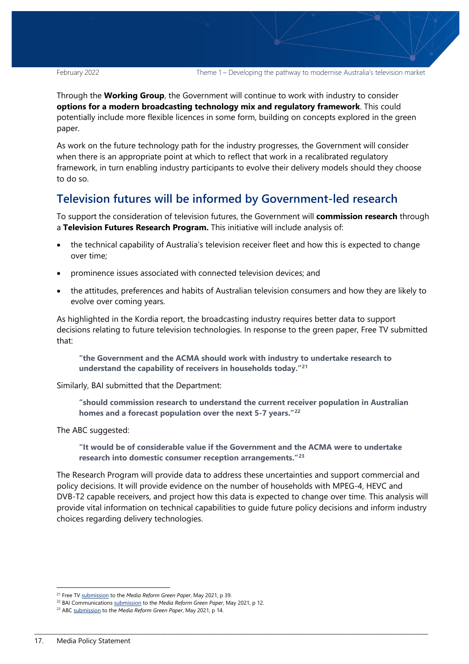February 2022 Theme 1 – Developing the pathway to modernise Australia's television market

Through the **Working Group**, the Government will continue to work with industry to consider **options for a modern broadcasting technology mix and regulatory framework**. This could potentially include more flexible licences in some form, building on concepts explored in the green paper.

As work on the future technology path for the industry progresses, the Government will consider when there is an appropriate point at which to reflect that work in a recalibrated regulatory framework, in turn enabling industry participants to evolve their delivery models should they choose to do so.

## <span id="page-16-0"></span>**Television futures will be informed by Government-led research**

To support the consideration of television futures, the Government will **commission research** through a **Television Futures Research Program.** This initiative will include analysis of:

- the technical capability of Australia's television receiver fleet and how this is expected to change over time;
- prominence issues associated with connected television devices; and
- the attitudes, preferences and habits of Australian television consumers and how they are likely to evolve over coming years.

As highlighted in the Kordia report, the broadcasting industry requires better data to support decisions relating to future television technologies. In response to the green paper, Free TV submitted that:

**"the Government and the ACMA should work with industry to undertake research to understand the capability of receivers in households today."[21](#page-16-1)**

Similarly, BAI submitted that the Department:

**"should commission research to understand the current receiver population in Australian homes and a forecast population over the next 5-7 years."[22](#page-16-2)**

The ABC suggested:

**"It would be of considerable value if the Government and the ACMA were to undertake research into domestic consumer reception arrangements."[23](#page-16-3)**

The Research Program will provide data to address these uncertainties and support commercial and policy decisions. It will provide evidence on the number of households with MPEG-4, HEVC and DVB-T2 capable receivers, and project how this data is expected to change over time. This analysis will provide vital information on technical capabilities to guide future policy decisions and inform industry choices regarding delivery technologies.

<span id="page-16-1"></span> <sup>21</sup> Free TV [submission](https://www.freetv.com.au/wp-content/uploads/2021/05/Free-TV-Submission-Media-Reform-Green-Paper-V3-linked.pdf) to the *Media Reform Green Paper*, May 2021, p 39.

<span id="page-16-2"></span><sup>22</sup> BAI Communication[s submission](https://www.infrastructure.gov.au/sites/default/files/documents/mrgp-bai-communications.pdf) to the *Media Reform Green Paper*, May 2021, p 12.

<span id="page-16-3"></span><sup>23</sup> AB[C submission](https://about.abc.net.au/wp-content/uploads/2021/06/ABC-Green-Paper-submission-May-2021.pdf) to the *Media Reform Green Paper*, May 2021, p 14.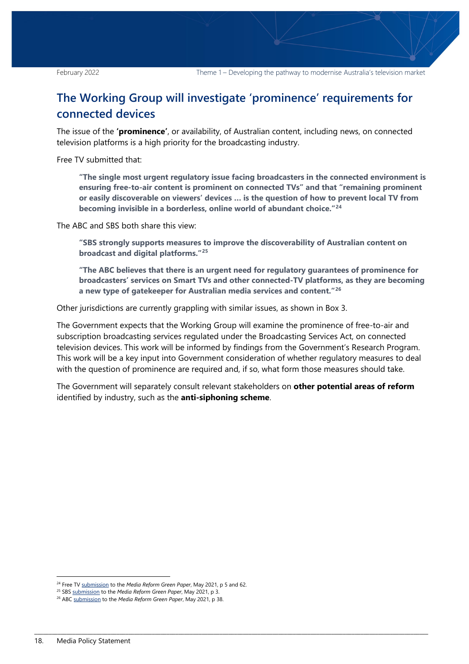## <span id="page-17-0"></span>**The Working Group will investigate 'prominence' requirements for connected devices**

The issue of the **'prominence'**, or availability, of Australian content, including news, on connected television platforms is a high priority for the broadcasting industry.

Free TV submitted that:

**"The single most urgent regulatory issue facing broadcasters in the connected environment is ensuring free-to-air content is prominent on connected TVs" and that "remaining prominent or easily discoverable on viewers' devices … is the question of how to prevent local TV from becoming invisible in a borderless, online world of abundant choice."[24](#page-17-1)**

The ABC and SBS both share this view:

**"SBS strongly supports measures to improve the discoverability of Australian content on broadcast and digital platforms."[25](#page-17-2)**

**"The ABC believes that there is an urgent need for regulatory guarantees of prominence for broadcasters' services on Smart TVs and other connected-TV platforms, as they are becoming a new type of gatekeeper for Australian media services and content."[26](#page-17-3)**

Other jurisdictions are currently grappling with similar issues, as shown in Box 3.

The Government expects that the Working Group will examine the prominence of free-to-air and subscription broadcasting services regulated under the Broadcasting Services Act, on connected television devices. This work will be informed by findings from the Government's Research Program. This work will be a key input into Government consideration of whether regulatory measures to deal with the question of prominence are required and, if so, what form those measures should take.

The Government will separately consult relevant stakeholders on **other potential areas of reform** identified by industry, such as the **anti-siphoning scheme**.

<span id="page-17-1"></span> <sup>24</sup> Free TV [submission](https://www.freetv.com.au/wp-content/uploads/2021/05/Free-TV-Submission-Media-Reform-Green-Paper-V3-linked.pdf) to the *Media Reform Green Paper*, May 2021, p 5 and 62.

<span id="page-17-2"></span><sup>25</sup> SB[S submission](https://www.sbs.com.au/aboutus/sites/sbs.com.au.aboutus/files/sbs_submission_-_media_reform_green_paper_-_28052021.pdf) to the *Media Reform Green Paper*, May 2021, p 3.

<span id="page-17-3"></span><sup>26</sup> AB[C submission](https://about.abc.net.au/wp-content/uploads/2021/06/ABC-Green-Paper-submission-May-2021.pdf) to the *Media Reform Green Paper*, May 2021, p 38.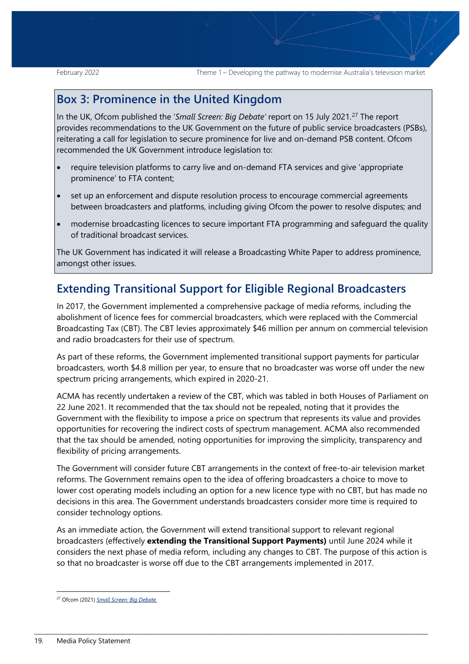## **Box 3: Prominence in the United Kingdom**

In the UK, Ofcom published the '*Small Screen: Big Debate'* report on 15 July 2021.[27](#page-18-1) The report provides recommendations to the UK Government on the future of public service broadcasters (PSBs), reiterating a call for legislation to secure prominence for live and on-demand PSB content. Ofcom recommended the UK Government introduce legislation to:

- require television platforms to carry live and on-demand FTA services and give 'appropriate prominence' to FTA content;
- set up an enforcement and dispute resolution process to encourage commercial agreements between broadcasters and platforms, including giving Ofcom the power to resolve disputes; and
- modernise broadcasting licences to secure important FTA programming and safeguard the quality of traditional broadcast services.

The UK Government has indicated it will release a Broadcasting White Paper to address prominence, amongst other issues.

## <span id="page-18-0"></span>**Extending Transitional Support for Eligible Regional Broadcasters**

In 2017, the Government implemented a comprehensive package of media reforms, including the abolishment of licence fees for commercial broadcasters, which were replaced with the Commercial Broadcasting Tax (CBT). The CBT levies approximately \$46 million per annum on commercial television and radio broadcasters for their use of spectrum.

As part of these reforms, the Government implemented transitional support payments for particular broadcasters, worth \$4.8 million per year, to ensure that no broadcaster was worse off under the new spectrum pricing arrangements, which expired in 2020-21.

ACMA has recently undertaken a review of the CBT, which was tabled in both Houses of Parliament on 22 June 2021. It recommended that the tax should not be repealed, noting that it provides the Government with the flexibility to impose a price on spectrum that represents its value and provides opportunities for recovering the indirect costs of spectrum management. ACMA also recommended that the tax should be amended, noting opportunities for improving the simplicity, transparency and flexibility of pricing arrangements.

The Government will consider future CBT arrangements in the context of free-to-air television market reforms. The Government remains open to the idea of offering broadcasters a choice to move to lower cost operating models including an option for a new licence type with no CBT, but has made no decisions in this area. The Government understands broadcasters consider more time is required to consider technology options.

As an immediate action, the Government will extend transitional support to relevant regional broadcasters (effectively **extending the Transitional Support Payments)** until June 2024 while it considers the next phase of media reform, including any changes to CBT. The purpose of this action is so that no broadcaster is worse off due to the CBT arrangements implemented in 2017.

<span id="page-18-1"></span> <sup>27</sup> Ofcom (2021) *[Small Screen: Big Debate.](https://www.smallscreenbigdebate.co.uk/__data/assets/pdf_file/0023/221954/statement-future-of-public-service-media.pdf)*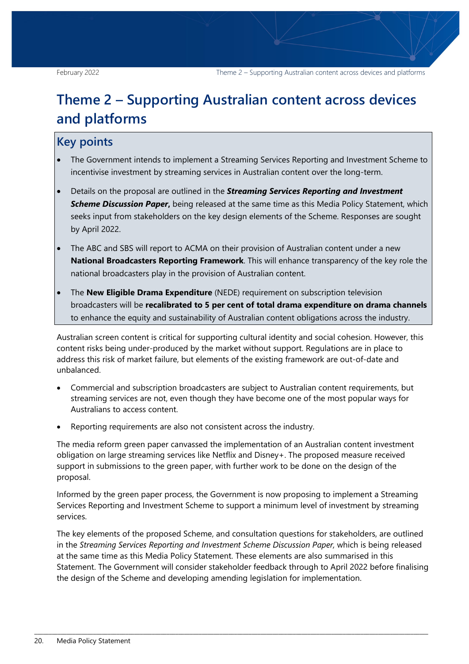## <span id="page-19-0"></span>**Theme 2 – Supporting Australian content across devices and platforms**

## **Key points**

- The Government intends to implement a Streaming Services Reporting and Investment Scheme to incentivise investment by streaming services in Australian content over the long-term.
- Details on the proposal are outlined in the *Streaming Services Reporting and Investment Scheme Discussion Paper***,** being released at the same time as this Media Policy Statement, which seeks input from stakeholders on the key design elements of the Scheme. Responses are sought by April 2022.
- The ABC and SBS will report to ACMA on their provision of Australian content under a new **National Broadcasters Reporting Framework**. This will enhance transparency of the key role the national broadcasters play in the provision of Australian content.
- The **New Eligible Drama Expenditure** (NEDE) requirement on subscription television broadcasters will be **recalibrated to 5 per cent of total drama expenditure on drama channels** to enhance the equity and sustainability of Australian content obligations across the industry.

Australian screen content is critical for supporting cultural identity and social cohesion. However, this content risks being under-produced by the market without support. Regulations are in place to address this risk of market failure, but elements of the existing framework are out-of-date and unbalanced.

- Commercial and subscription broadcasters are subject to Australian content requirements, but streaming services are not, even though they have become one of the most popular ways for Australians to access content.
- Reporting requirements are also not consistent across the industry.

The media reform green paper canvassed the implementation of an Australian content investment obligation on large streaming services like Netflix and Disney+. The proposed measure received support in submissions to the green paper, with further work to be done on the design of the proposal.

Informed by the green paper process, the Government is now proposing to implement a Streaming Services Reporting and Investment Scheme to support a minimum level of investment by streaming services.

The key elements of the proposed Scheme, and consultation questions for stakeholders, are outlined in the *Streaming Services Reporting and Investment Scheme Discussion Paper,* which is being released at the same time as this Media Policy Statement. These elements are also summarised in this Statement. The Government will consider stakeholder feedback through to April 2022 before finalising the design of the Scheme and developing amending legislation for implementation.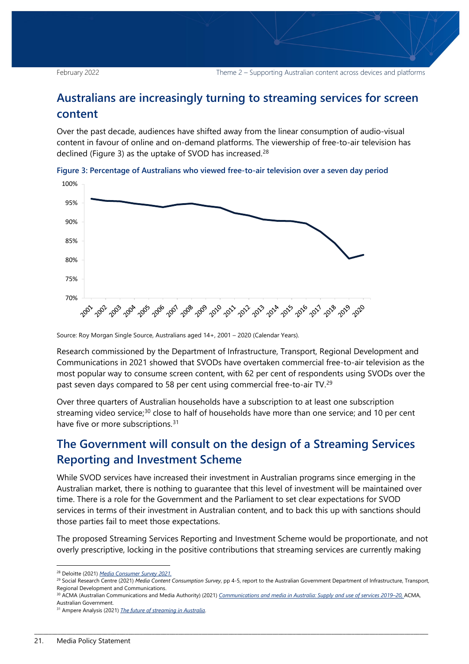## <span id="page-20-0"></span>**Australians are increasingly turning to streaming services for screen content**

Over the past decade, audiences have shifted away from the linear consumption of audio-visual content in favour of online and on-demand platforms. The viewership of free-to-air television has declined (Figure 3) as the uptake of SVOD has increased.<sup>[28](#page-20-3)</sup>



<span id="page-20-2"></span>

Source: Roy Morgan Single Source, Australians aged 14+, 2001 – 2020 (Calendar Years).

Research commissioned by the Department of Infrastructure, Transport, Regional Development and Communications in 2021 showed that SVODs have overtaken commercial free-to-air television as the most popular way to consume screen content, with 62 per cent of respondents using SVODs over the past seven days compared to 58 per cent using commercial free-to-air TV.[29](#page-20-4)

Over three quarters of Australian households have a subscription to at least one subscription streaming video service;<sup>[30](#page-20-5)</sup> close to half of households have more than one service; and 10 per cent have five or more subscriptions.<sup>[31](#page-20-6)</sup>

## <span id="page-20-1"></span>**The Government will consult on the design of a Streaming Services Reporting and Investment Scheme**

While SVOD services have increased their investment in Australian programs since emerging in the Australian market, there is nothing to guarantee that this level of investment will be maintained over time. There is a role for the Government and the Parliament to set clear expectations for SVOD services in terms of their investment in Australian content, and to back this up with sanctions should those parties fail to meet those expectations.

The proposed Streaming Services Reporting and Investment Scheme would be proportionate, and not overly prescriptive, locking in the positive contributions that streaming services are currently making

<span id="page-20-3"></span> <sup>28</sup> Deloitte (2021) *[Media Consumer Survey 2021.](https://www2.deloitte.com/au/en/pages/technology-media-and-telecommunications/articles/media-consumer-survey.html)*

<span id="page-20-4"></span><sup>29</sup> Social Research Centre (2021) *[Media Content Consumption Survey](https://www.infrastructure.gov.au/sites/default/files/media-content-consumption-survey-november2020.pdf)*, pp 4-5, report to the Australian Government Department of Infrastructure, Transport, Regional Development and Communications.

<span id="page-20-5"></span><sup>&</sup>lt;sup>30</sup> ACMA (Australian Communications and Media Authority) (2021) *Communications and media in Australia: Supply and use of services 2019–20*, ACMA, Australian Government.

<span id="page-20-6"></span><sup>31</sup> Ampere Analysis (2021) *[The future of streaming in Australia](https://www.ampereanalysis.com/report/webinar-the-future-of-streaming-in-australia)*.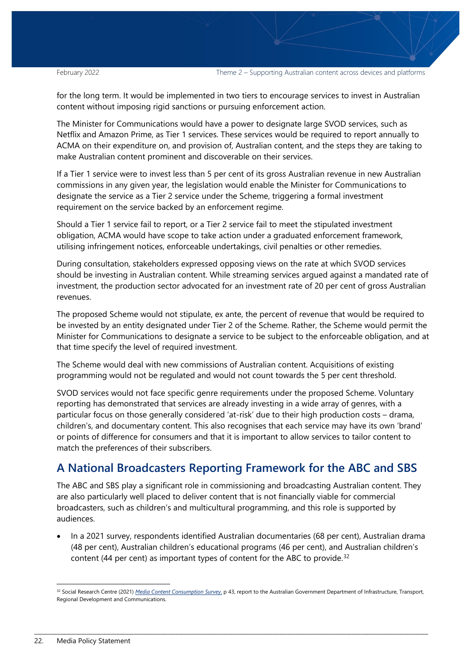for the long term. It would be implemented in two tiers to encourage services to invest in Australian content without imposing rigid sanctions or pursuing enforcement action.

The Minister for Communications would have a power to designate large SVOD services, such as Netflix and Amazon Prime, as Tier 1 services. These services would be required to report annually to ACMA on their expenditure on, and provision of, Australian content, and the steps they are taking to make Australian content prominent and discoverable on their services.

If a Tier 1 service were to invest less than 5 per cent of its gross Australian revenue in new Australian commissions in any given year, the legislation would enable the Minister for Communications to designate the service as a Tier 2 service under the Scheme, triggering a formal investment requirement on the service backed by an enforcement regime.

Should a Tier 1 service fail to report, or a Tier 2 service fail to meet the stipulated investment obligation, ACMA would have scope to take action under a graduated enforcement framework, utilising infringement notices, enforceable undertakings, civil penalties or other remedies.

During consultation, stakeholders expressed opposing views on the rate at which SVOD services should be investing in Australian content. While streaming services argued against a mandated rate of investment, the production sector advocated for an investment rate of 20 per cent of gross Australian revenues.

The proposed Scheme would not stipulate, ex ante, the percent of revenue that would be required to be invested by an entity designated under Tier 2 of the Scheme. Rather, the Scheme would permit the Minister for Communications to designate a service to be subject to the enforceable obligation, and at that time specify the level of required investment.

The Scheme would deal with new commissions of Australian content. Acquisitions of existing programming would not be regulated and would not count towards the 5 per cent threshold.

SVOD services would not face specific genre requirements under the proposed Scheme. Voluntary reporting has demonstrated that services are already investing in a wide array of genres, with a particular focus on those generally considered 'at-risk' due to their high production costs – drama, children's, and documentary content. This also recognises that each service may have its own 'brand' or points of difference for consumers and that it is important to allow services to tailor content to match the preferences of their subscribers.

## <span id="page-21-0"></span>**A National Broadcasters Reporting Framework for the ABC and SBS**

The ABC and SBS play a significant role in commissioning and broadcasting Australian content. They are also particularly well placed to deliver content that is not financially viable for commercial broadcasters, such as children's and multicultural programming, and this role is supported by audiences.

• In a 2021 survey, respondents identified Australian documentaries (68 per cent), Australian drama (48 per cent), Australian children's educational programs (46 per cent), and Australian children's content (44 per cent) as important types of content for the ABC to provide. $32$ 

<span id="page-21-1"></span> <sup>32</sup> Social Research Centre (2021) *[Media Content Consumption Survey](https://www.infrastructure.gov.au/2021-media-content-consumption-survey)*, p 43, report to the Australian Government Department of Infrastructure, Transport, Regional Development and Communications.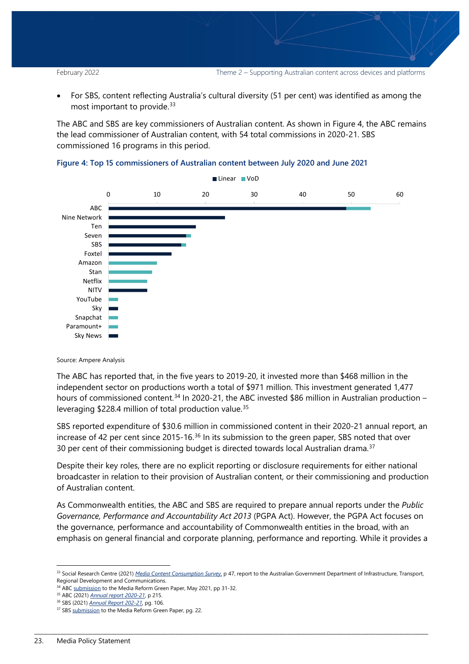• For SBS, content reflecting Australia's cultural diversity (51 per cent) was identified as among the most important to provide.<sup>[33](#page-22-1)</sup>

The ABC and SBS are key commissioners of Australian content. As shown in Figure 4, the ABC remains the lead commissioner of Australian content, with 54 total commissions in 2020-21. SBS commissioned 16 programs in this period.



<span id="page-22-0"></span>

#### Source: Ampere Analysis

The ABC has reported that, in the five years to 2019-20, it invested more than \$468 million in the independent sector on productions worth a total of \$971 million. This investment generated 1,477 hours of commissioned content.<sup>[34](#page-22-2)</sup> In 2020-21, the ABC invested \$86 million in Australian production – leveraging \$228.4 million of total production value.[35](#page-22-3)

SBS reported expenditure of \$30.6 million in commissioned content in their 2020-21 annual report, an increase of 42 per cent since 2015-16.<sup>[36](#page-22-4)</sup> In its submission to the green paper, SBS noted that over 30 per cent of their commissioning budget is directed towards local Australian drama. $37$ 

Despite their key roles, there are no explicit reporting or disclosure requirements for either national broadcaster in relation to their provision of Australian content, or their commissioning and production of Australian content.

As Commonwealth entities, the ABC and SBS are required to prepare annual reports under the *Public Governance, Performance and Accountability Act 2013* (PGPA Act). However, the PGPA Act focuses on the governance, performance and accountability of Commonwealth entities in the broad, with an emphasis on general financial and corporate planning, performance and reporting. While it provides a

<span id="page-22-1"></span> <sup>33</sup> Social Research Centre (2021) *[Media Content Consumption Survey](https://www.infrastructure.gov.au/2021-media-content-consumption-survey)*, p 47, report to the Australian Government Department of Infrastructure, Transport, Regional Development and Communications.

<sup>&</sup>lt;sup>34</sup> AB[C submission](https://about.abc.net.au/wp-content/uploads/2021/06/ABC-Green-Paper-submission-May-2021.pdf) to the Media Reform Green Paper, May 2021, pp 31-32.

<span id="page-22-3"></span><span id="page-22-2"></span><sup>35</sup> ABC (2021) *[Annual report 2020-21](http://about.abc.net.au/wp-content/uploads/2021/10/ABC10150_00_v14_FILM_WEB-a11y_FINAL2-1.pdf)*, p 215.

<span id="page-22-5"></span><span id="page-22-4"></span><sup>&</sup>lt;sup>36</sup> SBS (2021) *Annual Report 202-21*[,](https://www.sbs.com.au/aboutus/sbs-2020-21-annual-report) pg. 106.<br><sup>37</sup> SB[S submission](https://www.sbs.com.au/aboutus/sites/sbs.com.au.aboutus/files/sbs_submission_-_media_reform_green_paper_-_28052021.pdf) to the Media Reform Green Paper, pg. 22.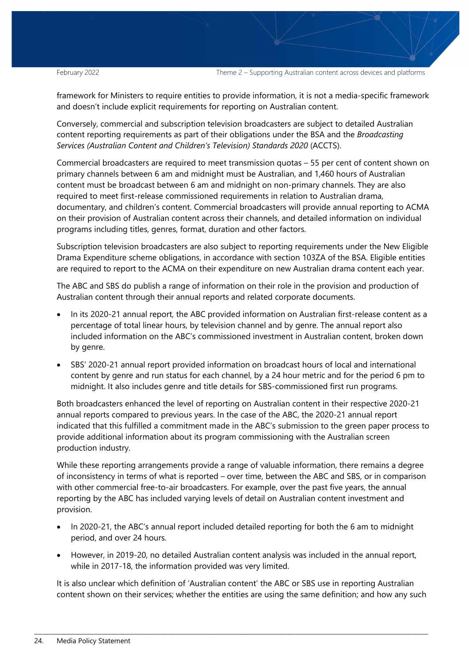February 2022 Theme 2 – Supporting Australian content across devices and platforms

framework for Ministers to require entities to provide information, it is not a media-specific framework and doesn't include explicit requirements for reporting on Australian content.

Conversely, commercial and subscription television broadcasters are subject to detailed Australian content reporting requirements as part of their obligations under the BSA and the *Broadcasting Services (Australian Content and Children's Television) Standards 2020* (ACCTS).

Commercial broadcasters are required to meet transmission quotas – 55 per cent of content shown on primary channels between 6 am and midnight must be Australian, and 1,460 hours of Australian content must be broadcast between 6 am and midnight on non-primary channels. They are also required to meet first-release commissioned requirements in relation to Australian drama, documentary, and children's content. Commercial broadcasters will provide annual reporting to ACMA on their provision of Australian content across their channels, and detailed information on individual programs including titles, genres, format, duration and other factors.

Subscription television broadcasters are also subject to reporting requirements under the New Eligible Drama Expenditure scheme obligations, in accordance with section 103ZA of the BSA. Eligible entities are required to report to the ACMA on their expenditure on new Australian drama content each year.

The ABC and SBS do publish a range of information on their role in the provision and production of Australian content through their annual reports and related corporate documents.

- In its 2020-21 annual report, the ABC provided information on Australian first-release content as a percentage of total linear hours, by television channel and by genre. The annual report also included information on the ABC's commissioned investment in Australian content, broken down by genre.
- SBS' 2020-21 annual report provided information on broadcast hours of local and international content by genre and run status for each channel, by a 24 hour metric and for the period 6 pm to midnight. It also includes genre and title details for SBS-commissioned first run programs.

Both broadcasters enhanced the level of reporting on Australian content in their respective 2020-21 annual reports compared to previous years. In the case of the ABC, the 2020-21 annual report indicated that this fulfilled a commitment made in the ABC's submission to the green paper process to provide additional information about its program commissioning with the Australian screen production industry.

While these reporting arrangements provide a range of valuable information, there remains a degree of inconsistency in terms of what is reported – over time, between the ABC and SBS, or in comparison with other commercial free-to-air broadcasters. For example, over the past five years, the annual reporting by the ABC has included varying levels of detail on Australian content investment and provision.

- In 2020-21, the ABC's annual report included detailed reporting for both the 6 am to midnight period, and over 24 hours.
- However, in 2019-20, no detailed Australian content analysis was included in the annual report, while in 2017-18, the information provided was very limited.

It is also unclear which definition of 'Australian content' the ABC or SBS use in reporting Australian content shown on their services; whether the entities are using the same definition; and how any such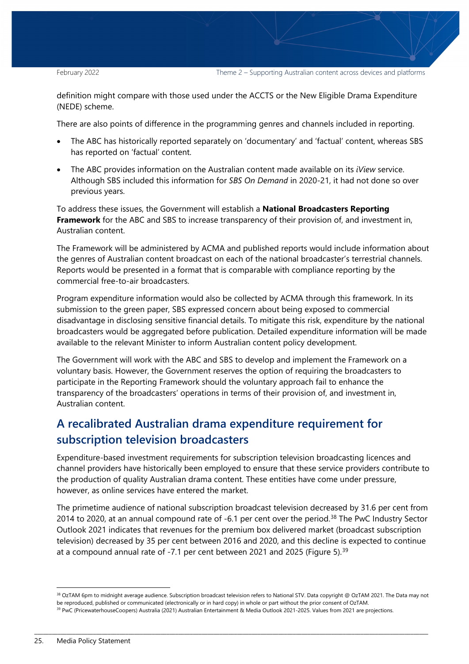February 2022 Theme 2 – Supporting Australian content across devices and platforms

definition might compare with those used under the ACCTS or the New Eligible Drama Expenditure (NEDE) scheme.

There are also points of difference in the programming genres and channels included in reporting.

- The ABC has historically reported separately on 'documentary' and 'factual' content, whereas SBS has reported on 'factual' content.
- The ABC provides information on the Australian content made available on its *iView* service. Although SBS included this information for *SBS On Demand* in 2020-21, it had not done so over previous years.

To address these issues, the Government will establish a **National Broadcasters Reporting Framework** for the ABC and SBS to increase transparency of their provision of, and investment in, Australian content.

The Framework will be administered by ACMA and published reports would include information about the genres of Australian content broadcast on each of the national broadcaster's terrestrial channels. Reports would be presented in a format that is comparable with compliance reporting by the commercial free-to-air broadcasters.

Program expenditure information would also be collected by ACMA through this framework. In its submission to the green paper, SBS expressed concern about being exposed to commercial disadvantage in disclosing sensitive financial details. To mitigate this risk, expenditure by the national broadcasters would be aggregated before publication. Detailed expenditure information will be made available to the relevant Minister to inform Australian content policy development.

The Government will work with the ABC and SBS to develop and implement the Framework on a voluntary basis. However, the Government reserves the option of requiring the broadcasters to participate in the Reporting Framework should the voluntary approach fail to enhance the transparency of the broadcasters' operations in terms of their provision of, and investment in, Australian content.

## <span id="page-24-0"></span>**A recalibrated Australian drama expenditure requirement for subscription television broadcasters**

Expenditure-based investment requirements for subscription television broadcasting licences and channel providers have historically been employed to ensure that these service providers contribute to the production of quality Australian drama content. These entities have come under pressure, however, as online services have entered the market.

The primetime audience of national subscription broadcast television decreased by 31.6 per cent from 2014 to 2020, at an annual compound rate of -6.1 per cent over the period.<sup>[38](#page-24-1)</sup> The PwC Industry Sector Outlook 2021 indicates that revenues for the premium box delivered market (broadcast subscription television) decreased by 35 per cent between 2016 and 2020, and this decline is expected to continue at a compound annual rate of -7.1 per cent between 2021 and 2025 (Figure 5).[39](#page-24-2)

<span id="page-24-1"></span><sup>38</sup> OzTAM 6pm to midnight average audience. Subscription broadcast television refers to National STV. Data copyright @ OzTAM 2021. The Data may not be reproduced, published or communicated (electronically or in hard copy) in whole or part without the prior consent of OzTAM.

<span id="page-24-2"></span><sup>&</sup>lt;sup>39</sup> PwC (PricewaterhouseCoopers) Australia (2021) Australian Entertainment & Media Outlook 2021-2025. Values from 2021 are projections.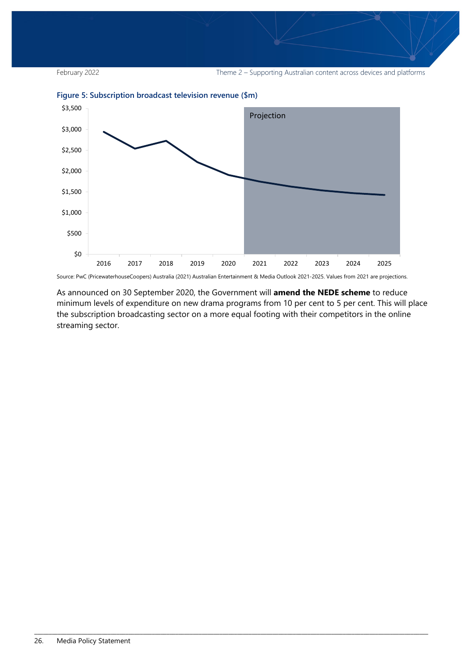



<span id="page-25-0"></span>**Figure 5: Subscription broadcast television revenue (\$m)**

Source: PwC (PricewaterhouseCoopers) Australia (2021) Australian Entertainment & Media Outlook 2021-2025. Values from 2021 are projections.

\_\_\_\_\_\_\_\_\_\_\_\_\_\_\_\_\_\_\_\_\_\_\_\_\_\_\_\_\_\_\_\_\_\_\_\_\_\_\_\_\_\_\_\_\_\_\_\_\_\_\_\_\_\_\_\_\_\_\_\_\_\_\_\_\_\_\_\_\_\_\_\_\_\_\_\_\_\_\_\_\_\_\_\_\_\_\_\_\_\_\_\_\_\_\_\_\_\_\_\_\_\_\_\_\_\_\_\_\_\_\_\_\_\_\_\_\_\_\_\_\_\_\_\_\_\_\_\_\_\_\_\_\_\_

As announced on 30 September 2020, the Government will **amend the NEDE scheme** to reduce minimum levels of expenditure on new drama programs from 10 per cent to 5 per cent. This will place the subscription broadcasting sector on a more equal footing with their competitors in the online streaming sector.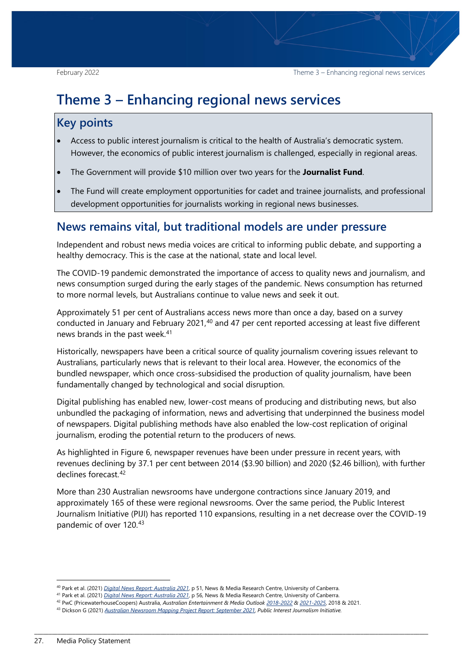## <span id="page-26-0"></span>**Theme 3 – Enhancing regional news services**

## **Key points**

- Access to public interest journalism is critical to the health of Australia's democratic system. However, the economics of public interest journalism is challenged, especially in regional areas.
- The Government will provide \$10 million over two years for the **Journalist Fund**.
- The Fund will create employment opportunities for cadet and trainee journalists, and professional development opportunities for journalists working in regional news businesses.

## <span id="page-26-1"></span>**News remains vital, but traditional models are under pressure**

Independent and robust news media voices are critical to informing public debate, and supporting a healthy democracy. This is the case at the national, state and local level.

The COVID-19 pandemic demonstrated the importance of access to quality news and journalism, and news consumption surged during the early stages of the pandemic. News consumption has returned to more normal levels, but Australians continue to value news and seek it out.

Approximately 51 per cent of Australians access news more than once a day, based on a survey conducted in January and February 2021,<sup>[40](#page-26-2)</sup> and 47 per cent reported accessing at least five different news brands in the past week.<sup>[41](#page-26-3)</sup>

Historically, newspapers have been a critical source of quality journalism covering issues relevant to Australians, particularly news that is relevant to their local area. However, the economics of the bundled newspaper, which once cross-subsidised the production of quality journalism, have been fundamentally changed by technological and social disruption.

Digital publishing has enabled new, lower-cost means of producing and distributing news, but also unbundled the packaging of information, news and advertising that underpinned the business model of newspapers. Digital publishing methods have also enabled the low-cost replication of original journalism, eroding the potential return to the producers of news.

As highlighted in Figure 6, newspaper revenues have been under pressure in recent years, with revenues declining by 37.1 per cent between 2014 (\$3.90 billion) and 2020 (\$2.46 billion), with further declines forecast [42](#page-26-4)

More than 230 Australian newsrooms have undergone contractions since January 2019, and approximately 165 of these were regional newsrooms. Over the same period, the Public Interest Journalism Initiative (PIJI) has reported 110 expansions, resulting in a net decrease over the COVID-19 pandemic of over 120.[43](#page-26-5)

<span id="page-26-3"></span><span id="page-26-2"></span><sup>&</sup>lt;sup>40</sup> Park et al. (2021) Digital News Report: Australia 2021[,](https://apo.org.au/sites/default/files/resource-files/2021-06/apo-nid312650_0.pdf) p 51, News & Media Research Centre, University of Canberra.<br><sup>41</sup> Park et al. (2021) [Digital News Report: Australia 2021](https://apo.org.au/sites/default/files/resource-files/2021-06/apo-nid312650_0.pdf), p 56, News & Media Research Centre, Univ

<span id="page-26-4"></span><sup>42</sup> PwC (PricewaterhouseCoopers) Australia, *Australian Entertainment & Media Outloo[k 2018-2022](https://www.pwc.com.au/digitalpulse/report-entertainment-media-outlook-2018-2022.html) [& 2021-2025](https://www.pwc.com.au/industry/entertainment-and-media-trends-analysis/outlook.html)*, 2018 & 2021.

<span id="page-26-5"></span><sup>43</sup> Dickson G (2021) *[Australian Newsroom Mapping Project Report: September 2021,](https://piji.com.au/wp-content/uploads/2021/10/2109-anmp-report-sep-2021.pdf) Public Interest Journalism Initiative.*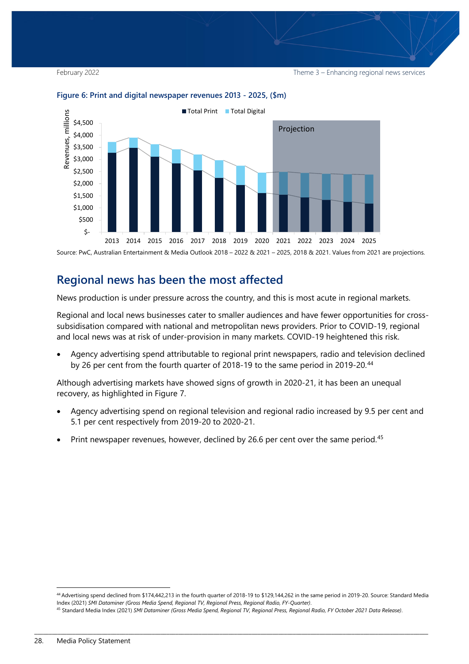February 2022 **Theme 3 – Enhancing regional news services** Theme 3 – Enhancing regional news services



#### <span id="page-27-1"></span>**Figure 6: Print and digital newspaper revenues 2013 - 2025, (\$m)**

Source: PwC, Australian Entertainment & Media Outlook 2018 – 2022 & 2021 – 2025, 2018 & 2021. Values from 2021 are projections.

### <span id="page-27-0"></span>**Regional news has been the most affected**

News production is under pressure across the country, and this is most acute in regional markets.

Regional and local news businesses cater to smaller audiences and have fewer opportunities for crosssubsidisation compared with national and metropolitan news providers. Prior to COVID-19, regional and local news was at risk of under-provision in many markets. COVID-19 heightened this risk.

• Agency advertising spend attributable to regional print newspapers, radio and television declined by 26 per cent from the fourth quarter of 2018-19 to the same period in 2019-20.<sup>[44](#page-27-2)</sup>

Although advertising markets have showed signs of growth in 2020-21, it has been an unequal recovery, as highlighted in Figure 7.

- Agency advertising spend on regional television and regional radio increased by 9.5 per cent and 5.1 per cent respectively from 2019-20 to 2020-21.
- Print newspaper revenues, however, declined by 26.6 per cent over the same period.<sup>[45](#page-27-3)</sup>

<span id="page-27-2"></span> <sup>44</sup> Advertising spend declined from \$174,442,213 in the fourth quarter of 2018-19 to \$129,144,262 in the same period in 2019-20. Source: Standard Media Index (2021) *SMI Dataminer (Gross Media Spend, Regional TV, Regional Press, Regional Radio, FY-Quarter)*.

<span id="page-27-3"></span><sup>45</sup> Standard Media Index (2021) *SMI Dataminer (Gross Media Spend, Regional TV, Regional Press, Regional Radio, FY October 2021 Data Release)*.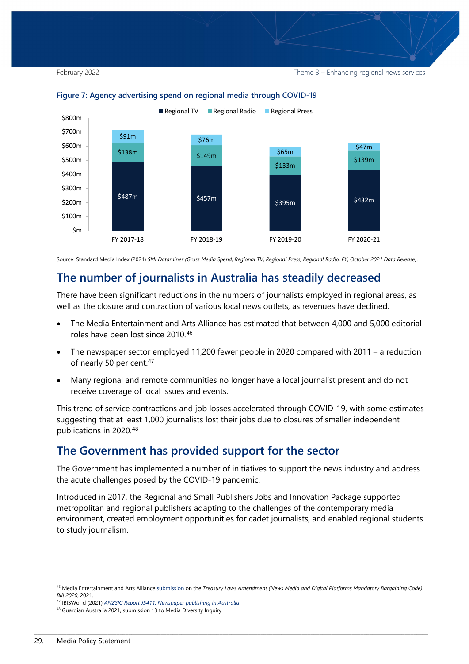February 2022 **Theme 3 – Enhancing regional news services** Theme 3 – Enhancing regional news services



#### <span id="page-28-2"></span>**Figure 7: Agency advertising spend on regional media through COVID-19**

Source: Standard Media Index (2021) *SMI Dataminer (Gross Media Spend, Regional TV, Regional Press, Regional Radio, FY, October 2021 Data Release)*.

## <span id="page-28-0"></span>**The number of journalists in Australia has steadily decreased**

There have been significant reductions in the numbers of journalists employed in regional areas, as well as the closure and contraction of various local news outlets, as revenues have declined.

- The Media Entertainment and Arts Alliance has estimated that between 4,000 and 5,000 editorial roles have been lost since 2010.[46](#page-28-3)
- The newspaper sector employed 11,200 fewer people in 2020 compared with 2011 a reduction of nearly 50 per cent.<sup>[47](#page-28-4)</sup>
- Many regional and remote communities no longer have a local journalist present and do not receive coverage of local issues and events.

This trend of service contractions and job losses accelerated through COVID-19, with some estimates suggesting that at least 1,000 journalists lost their jobs due to closures of smaller independent publications in 2020.[48](#page-28-5)

## <span id="page-28-1"></span>**The Government has provided support for the sector**

The Government has implemented a number of initiatives to support the news industry and address the acute challenges posed by the COVID-19 pandemic.

Introduced in 2017, the Regional and Small Publishers Jobs and Innovation Package supported metropolitan and regional publishers adapting to the challenges of the contemporary media environment, created employment opportunities for cadet journalists, and enabled regional students to study journalism.

<span id="page-28-3"></span> <sup>46</sup> Media Entertainment and Arts Allianc[e submission](https://www.meaa.org/download/meaa-submission-on-the-treasury-laws-amendment-news-media-and-digital-platforms-mandatory-bargaining-code-bill-2020/) on the *Treasury Laws Amendment (News Media and Digital Platforms Mandatory Bargaining Code) Bill 2020*, 2021.

<sup>47</sup> IBISWorld (2021) *[ANZSIC Report J5411: Newspaper publishing in Australia](https://www.ibisworld.com/au/industry/newspaper-publishing/169/)*.

<span id="page-28-5"></span><span id="page-28-4"></span><sup>48</sup> Guardian Australia 2021, submission 13 to Media Diversity Inquiry.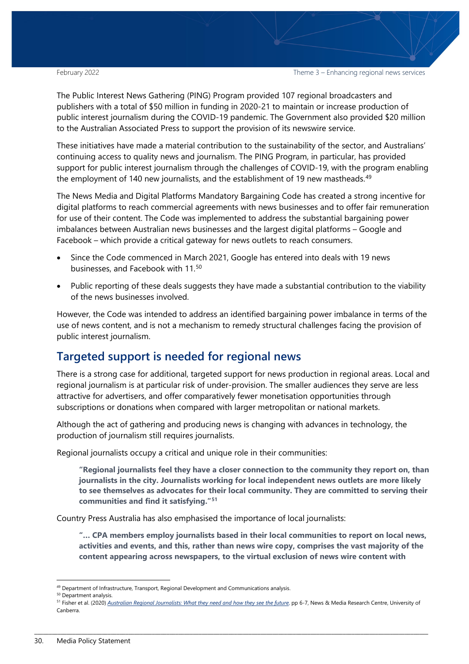The Public Interest News Gathering (PING) Program provided 107 regional broadcasters and publishers with a total of \$50 million in funding in 2020-21 to maintain or increase production of public interest journalism during the COVID-19 pandemic. The Government also provided \$20 million to the Australian Associated Press to support the provision of its newswire service.

These initiatives have made a material contribution to the sustainability of the sector, and Australians' continuing access to quality news and journalism. The PING Program, in particular, has provided support for public interest journalism through the challenges of COVID-19, with the program enabling the employment of 140 new journalists, and the establishment of 19 new mastheads.<sup>[49](#page-29-1)</sup>

The News Media and Digital Platforms Mandatory Bargaining Code has created a strong incentive for digital platforms to reach commercial agreements with news businesses and to offer fair remuneration for use of their content. The Code was implemented to address the substantial bargaining power imbalances between Australian news businesses and the largest digital platforms – Google and Facebook – which provide a critical gateway for news outlets to reach consumers.

- Since the Code commenced in March 2021, Google has entered into deals with 19 news businesses, and Facebook with 11.[50](#page-29-2)
- Public reporting of these deals suggests they have made a substantial contribution to the viability of the news businesses involved.

However, the Code was intended to address an identified bargaining power imbalance in terms of the use of news content, and is not a mechanism to remedy structural challenges facing the provision of public interest journalism.

## <span id="page-29-0"></span>**Targeted support is needed for regional news**

There is a strong case for additional, targeted support for news production in regional areas. Local and regional journalism is at particular risk of under-provision. The smaller audiences they serve are less attractive for advertisers, and offer comparatively fewer monetisation opportunities through subscriptions or donations when compared with larger metropolitan or national markets.

Although the act of gathering and producing news is changing with advances in technology, the production of journalism still requires journalists.

Regional journalists occupy a critical and unique role in their communities:

**"Regional journalists feel they have a closer connection to the community they report on, than journalists in the city. Journalists working for local independent news outlets are more likely to see themselves as advocates for their local community. They are committed to serving their communities and find it satisfying."[51](#page-29-3)**

Country Press Australia has also emphasised the importance of local journalists:

**"… CPA members employ journalists based in their local communities to report on local news, activities and events, and this, rather than news wire copy, comprises the vast majority of the content appearing across newspapers, to the virtual exclusion of news wire content with** 

<sup>49</sup> Department of Infrastructure, Transport, Regional Development and Communications analysis.

<span id="page-29-2"></span><span id="page-29-1"></span><sup>&</sup>lt;sup>50</sup> Department analysis.

<span id="page-29-3"></span><sup>&</sup>lt;sup>51</sup> Fisher et al. (2020) *[Australian Regional Journalists: What they need and how they see the future](https://apo.org.au/sites/default/files/resource-files/2020-07/apo-nid306523.pdf)*, pp 6-7, News & Media Research Centre, University of Canberra.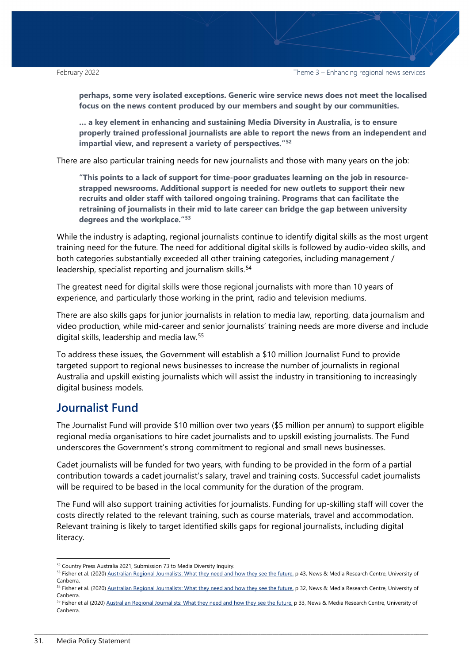**perhaps, some very isolated exceptions. Generic wire service news does not meet the localised focus on the news content produced by our members and sought by our communities.** 

**… a key element in enhancing and sustaining Media Diversity in Australia, is to ensure properly trained professional journalists are able to report the news from an independent and impartial view, and represent a variety of perspectives."[52](#page-30-1)**

There are also particular training needs for new journalists and those with many years on the job:

**"This points to a lack of support for time-poor graduates learning on the job in resourcestrapped newsrooms. Additional support is needed for new outlets to support their new recruits and older staff with tailored ongoing training. Programs that can facilitate the retraining of journalists in their mid to late career can bridge the gap between university degrees and the workplace."[53](#page-30-2)**

While the industry is adapting, regional journalists continue to identify digital skills as the most urgent training need for the future. The need for additional digital skills is followed by audio-video skills, and both categories substantially exceeded all other training categories, including management / leadership, specialist reporting and journalism skills.<sup>[54](#page-30-3)</sup>

The greatest need for digital skills were those regional journalists with more than 10 years of experience, and particularly those working in the print, radio and television mediums.

There are also skills gaps for junior journalists in relation to media law, reporting, data journalism and video production, while mid-career and senior journalists' training needs are more diverse and include digital skills, leadership and media law.[55](#page-30-4) 

To address these issues, the Government will establish a \$10 million Journalist Fund to provide targeted support to regional news businesses to increase the number of journalists in regional Australia and upskill existing journalists which will assist the industry in transitioning to increasingly digital business models.

## <span id="page-30-0"></span>**Journalist Fund**

The Journalist Fund will provide \$10 million over two years (\$5 million per annum) to support eligible regional media organisations to hire cadet journalists and to upskill existing journalists. The Fund underscores the Government's strong commitment to regional and small news businesses.

Cadet journalists will be funded for two years, with funding to be provided in the form of a partial contribution towards a cadet journalist's salary, travel and training costs. Successful cadet journalists will be required to be based in the local community for the duration of the program.

The Fund will also support training activities for journalists. Funding for up-skilling staff will cover the costs directly related to the relevant training, such as course materials, travel and accommodation. Relevant training is likely to target identified skills gaps for regional journalists, including digital literacy.

<span id="page-30-1"></span><sup>&</sup>lt;sup>52</sup> Country Press Australia 2021, Submission 73 to Media Diversity Inquiry.

<span id="page-30-2"></span><sup>53</sup> Fisher et al. (2020[\) Australian Regional Journalists: What they need and how they see the future,](https://apo.org.au/sites/default/files/resource-files/2020-07/apo-nid306523.pdf) p 43, News & Media Research Centre, University of Canberra.

<span id="page-30-3"></span><sup>54</sup> Fisher et al. (2020[\) Australian Regional Journalists: What they need and how they see the future,](https://apo.org.au/sites/default/files/resource-files/2020-07/apo-nid306523.pdf) p 32, News & Media Research Centre, University of Canberra.

<span id="page-30-4"></span><sup>55</sup> Fisher et al (2020[\) Australian Regional Journalists: What they need and how they see the future,](https://apo.org.au/sites/default/files/resource-files/2020-07/apo-nid306523.pdf) p 33, News & Media Research Centre, University of Canberra.